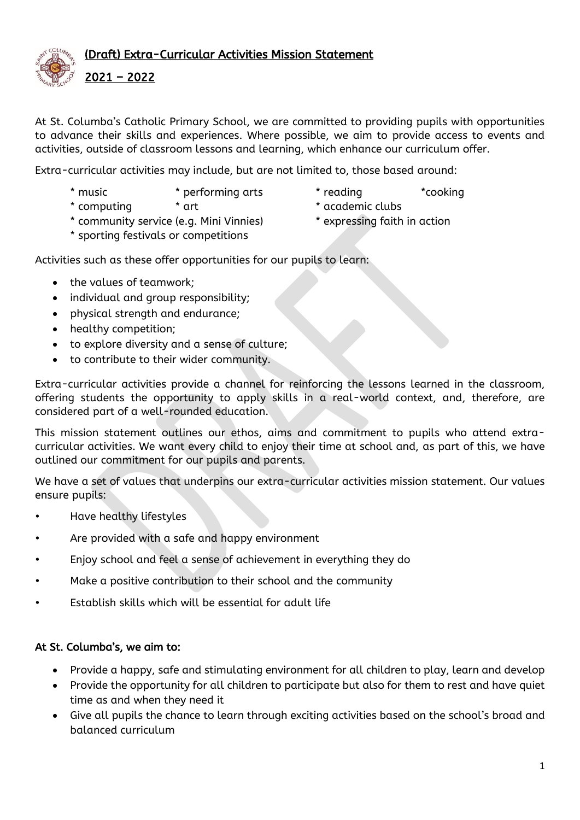

At St. Columba's Catholic Primary School, we are committed to providing pupils with opportunities to advance their skills and experiences. Where possible, we aim to provide access to events and activities, outside of classroom lessons and learning, which enhance our curriculum offer.

Extra-curricular activities may include, but are not limited to, those based around:

- 
- \* music \* performing arts \* reading \*cooking
- \* computing \* art \* art \* academic clubs
- -
- \* community service (e.g. Mini Vinnies) \* expressing faith in action
- \* sporting festivals or competitions
- 

Activities such as these offer opportunities for our pupils to learn:

- the values of teamwork;
- individual and group responsibility;
- physical strength and endurance;
- healthy competition;
- to explore diversity and a sense of culture;
- to contribute to their wider community.

Extra-curricular activities provide a channel for reinforcing the lessons learned in the classroom, offering students the opportunity to apply skills in a real-world context, and, therefore, are considered part of a well-rounded education.

This mission statement outlines our ethos, aims and commitment to pupils who attend extracurricular activities. We want every child to enjoy their time at school and, as part of this, we have outlined our commitment for our pupils and parents.

We have a set of values that underpins our extra-curricular activities mission statement. Our values ensure pupils:

- Have healthy lifestyles
- Are provided with a safe and happy environment
- Enjoy school and feel a sense of achievement in everything they do
- Make a positive contribution to their school and the community
- Establish skills which will be essential for adult life

#### At St. Columba's, we aim to:

- Provide a happy, safe and stimulating environment for all children to play, learn and develop
- Provide the opportunity for all children to participate but also for them to rest and have quiet time as and when they need it
- Give all pupils the chance to learn through exciting activities based on the school's broad and balanced curriculum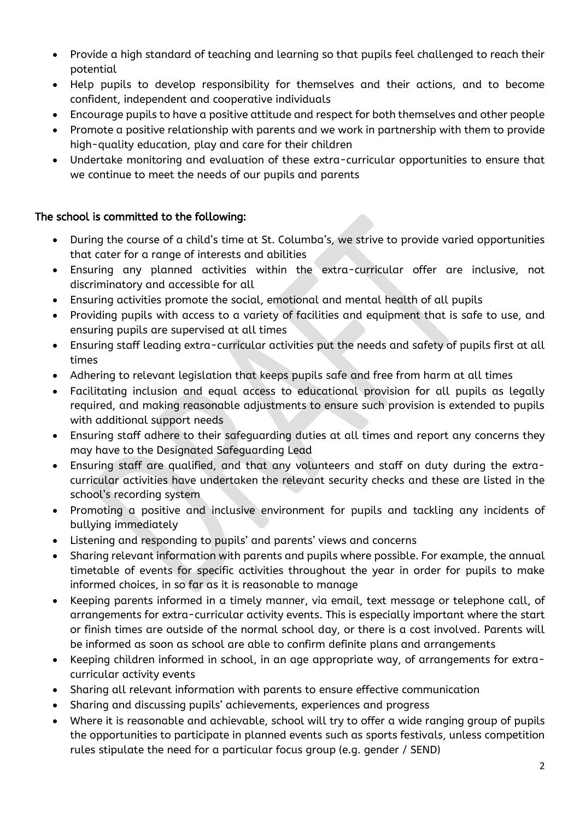- Provide a high standard of teaching and learning so that pupils feel challenged to reach their potential
- Help pupils to develop responsibility for themselves and their actions, and to become confident, independent and cooperative individuals
- Encourage pupils to have a positive attitude and respect for both themselves and other people
- Promote a positive relationship with parents and we work in partnership with them to provide high-quality education, play and care for their children
- Undertake monitoring and evaluation of these extra-curricular opportunities to ensure that we continue to meet the needs of our pupils and parents

## The school is committed to the following:

- During the course of a child's time at St. Columba's, we strive to provide varied opportunities that cater for a range of interests and abilities
- Ensuring any planned activities within the extra-curricular offer are inclusive, not discriminatory and accessible for all
- Ensuring activities promote the social, emotional and mental health of all pupils
- Providing pupils with access to a variety of facilities and equipment that is safe to use, and ensuring pupils are supervised at all times
- Ensuring staff leading extra-curricular activities put the needs and safety of pupils first at all times
- Adhering to relevant legislation that keeps pupils safe and free from harm at all times
- Facilitating inclusion and equal access to educational provision for all pupils as legally required, and making reasonable adjustments to ensure such provision is extended to pupils with additional support needs
- Ensuring staff adhere to their safeguarding duties at all times and report any concerns they may have to the Designated Safeguarding Lead
- Ensuring staff are qualified, and that any volunteers and staff on duty during the extracurricular activities have undertaken the relevant security checks and these are listed in the school's recording system
- Promoting a positive and inclusive environment for pupils and tackling any incidents of bullying immediately
- Listening and responding to pupils' and parents' views and concerns
- Sharing relevant information with parents and pupils where possible. For example, the annual timetable of events for specific activities throughout the year in order for pupils to make informed choices, in so far as it is reasonable to manage
- Keeping parents informed in a timely manner, via email, text message or telephone call, of arrangements for extra-curricular activity events. This is especially important where the start or finish times are outside of the normal school day, or there is a cost involved. Parents will be informed as soon as school are able to confirm definite plans and arrangements
- Keeping children informed in school, in an age appropriate way, of arrangements for extracurricular activity events
- Sharing all relevant information with parents to ensure effective communication
- Sharing and discussing pupils' achievements, experiences and progress
- Where it is reasonable and achievable, school will try to offer a wide ranging group of pupils the opportunities to participate in planned events such as sports festivals, unless competition rules stipulate the need for a particular focus group (e.g. gender / SEND)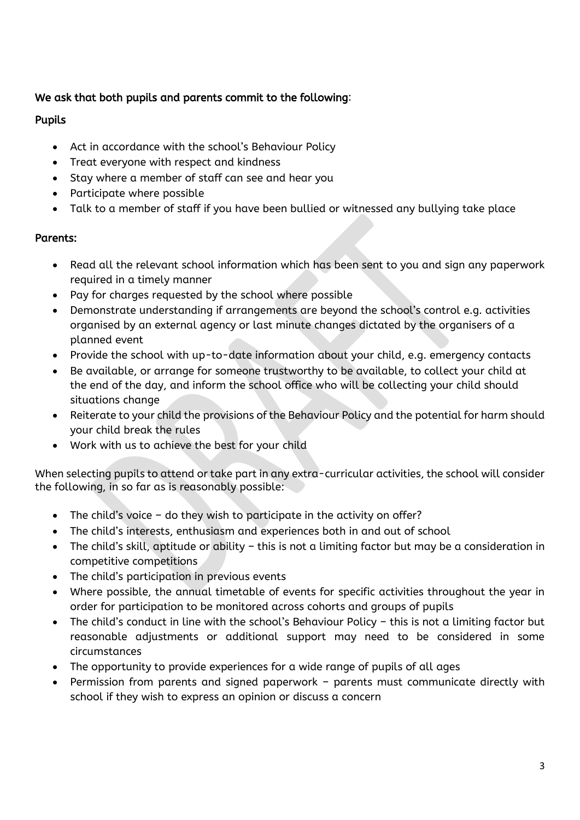# We ask that both pupils and parents commit to the following:

## Pupils

- Act in accordance with the school's Behaviour Policy
- Treat everyone with respect and kindness
- Stay where a member of staff can see and hear you
- Participate where possible
- Talk to a member of staff if you have been bullied or witnessed any bullying take place

## Parents:

- Read all the relevant school information which has been sent to you and sign any paperwork required in a timely manner
- Pay for charges requested by the school where possible
- Demonstrate understanding if arrangements are beyond the school's control e.g. activities organised by an external agency or last minute changes dictated by the organisers of a planned event
- Provide the school with up-to-date information about your child, e.g. emergency contacts
- Be available, or arrange for someone trustworthy to be available, to collect your child at the end of the day, and inform the school office who will be collecting your child should situations change
- Reiterate to your child the provisions of the Behaviour Policy and the potential for harm should your child break the rules
- Work with us to achieve the best for your child

When selecting pupils to attend or take part in any extra-curricular activities, the school will consider the following, in so far as is reasonably possible:

- The child's voice do they wish to participate in the activity on offer?
- The child's interests, enthusiasm and experiences both in and out of school
- The child's skill, aptitude or ability this is not a limiting factor but may be a consideration in competitive competitions
- The child's participation in previous events
- Where possible, the annual timetable of events for specific activities throughout the year in order for participation to be monitored across cohorts and groups of pupils
- The child's conduct in line with the school's Behaviour Policy this is not a limiting factor but reasonable adjustments or additional support may need to be considered in some circumstances
- The opportunity to provide experiences for a wide range of pupils of all ages
- Permission from parents and signed paperwork parents must communicate directly with school if they wish to express an opinion or discuss a concern